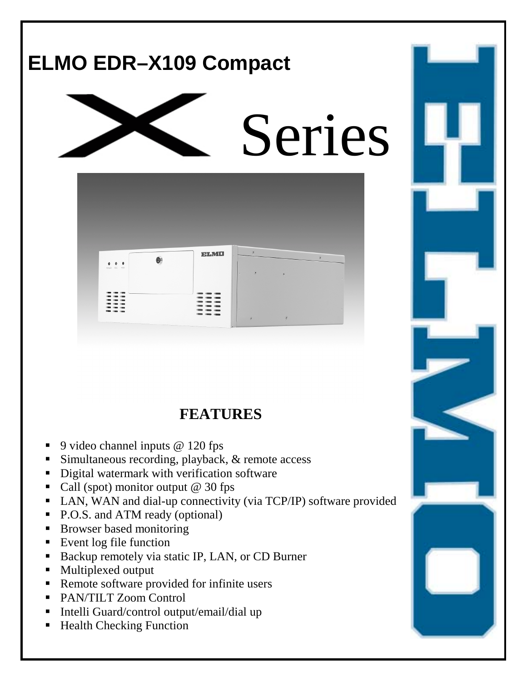

# **FEATURES**

- ! 9 video channel inputs @ 120 fps
- Simultaneous recording, playback, & remote access
- ! Digital watermark with verification software
- Call (spot) monitor output  $@$  30 fps
- ! LAN, WAN and dial-up connectivity (via TCP/IP) software provided
- P.O.S. and ATM ready (optional)
- **EXECUTE:** Browser based monitoring
- **Exent log file function**
- ! Backup remotely via static IP, LAN, or CD Burner
- Multiplexed output
- ! Remote software provided for infinite users
- ! PAN/TILT Zoom Control
- ! Intelli Guard/control output/email/dial up
- Health Checking Function